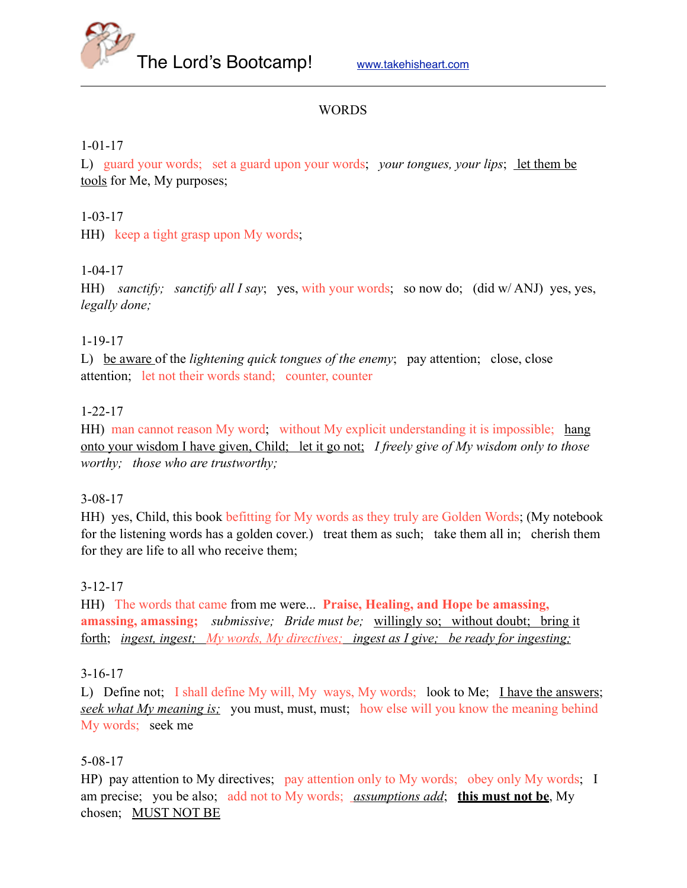

#### **WORDS**

#### 1-01-17

L) guard your words; set a guard upon your words; *your tongues, your lips*; let them be tools for Me, My purposes;

#### 1-03-17

HH) keep a tight grasp upon My words;

#### 1-04-17

HH) *sanctify; sanctify all I say*; yes, with your words; so now do; (did w/ ANJ) yes, yes, *legally done;* 

#### 1-19-17

L) be aware of the *lightening quick tongues of the enemy*; pay attention; close, close attention; let not their words stand; counter, counter

#### 1-22-17

HH) man cannot reason My word; without My explicit understanding it is impossible; hang onto your wisdom I have given, Child; let it go not; *I freely give of My wisdom only to those worthy; those who are trustworthy;*

#### 3-08-17

HH) yes, Child, this book befitting for My words as they truly are Golden Words; (My notebook for the listening words has a golden cover.) treat them as such; take them all in; cherish them for they are life to all who receive them;

# 3-12-17

HH) The words that came from me were... **Praise, Healing, and Hope be amassing, amassing, amassing;** *submissive; Bride must be;* willingly so; without doubt; bring it forth; *ingest, ingest; My words, My directives; ingest as I give; be ready for ingesting;* 

#### 3-16-17

L) Define not; I shall define My will, My ways, My words; look to Me; I have the answers; *seek what My meaning is;* you must, must, must; how else will you know the meaning behind My words; seek me

#### 5-08-17

HP) pay attention to My directives; pay attention only to My words; obey only My words; I am precise; you be also; add not to My words; *assumptions add*; **this must not be**, My chosen; MUST NOT BE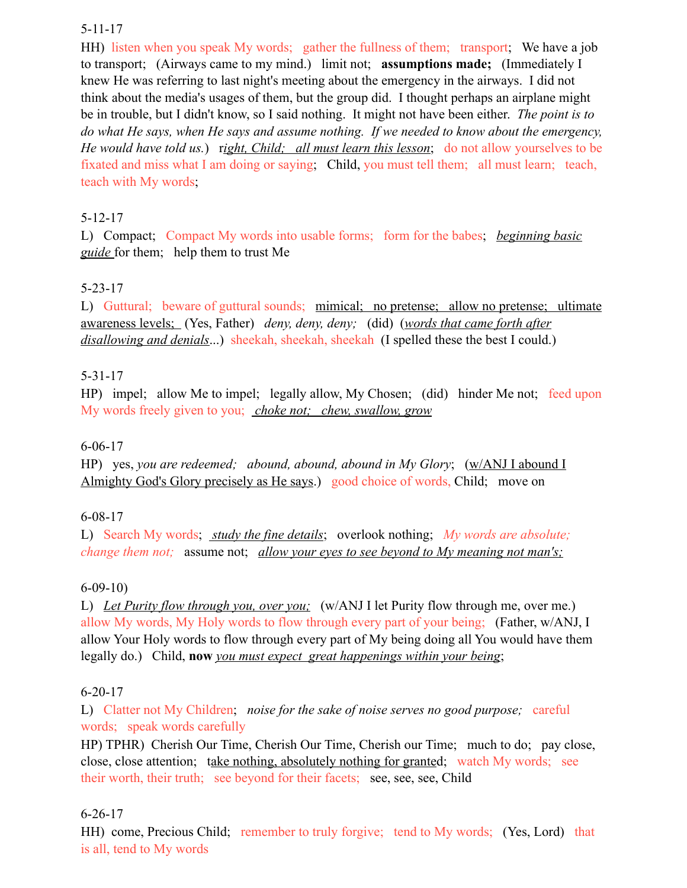## 5-11-17

HH) listen when you speak My words; gather the fullness of them; transport; We have a job to transport; (Airways came to my mind.) limit not; **assumptions made;** (Immediately I knew He was referring to last night's meeting about the emergency in the airways. I did not think about the media's usages of them, but the group did. I thought perhaps an airplane might be in trouble, but I didn't know, so I said nothing. It might not have been either. *The point is to do what He says, when He says and assume nothing. If we needed to know about the emergency, He would have told us.*) r*ight, Child; all must learn this lesson*; do not allow yourselves to be fixated and miss what I am doing or saying; Child, you must tell them; all must learn; teach, teach with My words;

# 5-12-17

L) Compact; Compact My words into usable forms; form for the babes; *beginning basic guide* for them; help them to trust Me

# 5-23-17

L) Guttural; beware of guttural sounds; mimical; no pretense; allow no pretense; ultimate awareness levels; (Yes, Father) *deny, deny, deny;* (did) (*words that came forth after disallowing and denials*...) sheekah, sheekah, sheekah (I spelled these the best I could.)

# 5-31-17

HP) impel; allow Me to impel; legally allow, My Chosen; (did) hinder Me not; feed upon My words freely given to you; *choke not; chew, swallow, grow* 

# 6-06-17

HP) yes, *you are redeemed; abound, abound, abound in My Glory*; (w/ANJ I abound I Almighty God's Glory precisely as He says.) good choice of words, Child; move on

# 6-08-17

L) Search My words; *study the fine details*; overlook nothing; *My words are absolute; change them not;* assume not; *allow your eyes to see beyond to My meaning not man's;*

# 6-09-10)

L) *Let Purity flow through you, over you;* (w/ANJ I let Purity flow through me, over me.) allow My words, My Holy words to flow through every part of your being; (Father, w/ANJ, I allow Your Holy words to flow through every part of My being doing all You would have them legally do.) Child, **now** *you must expect great happenings within your being*;

# 6-20-17

L) Clatter not My Children; *noise for the sake of noise serves no good purpose;* careful words; speak words carefully

HP) TPHR) Cherish Our Time, Cherish Our Time, Cherish our Time; much to do; pay close, close, close attention; take nothing, absolutely nothing for granted; watch My words; see their worth, their truth; see beyond for their facets; see, see, see, Child

# 6-26-17

HH) come, Precious Child; remember to truly forgive; tend to My words; (Yes, Lord) that is all, tend to My words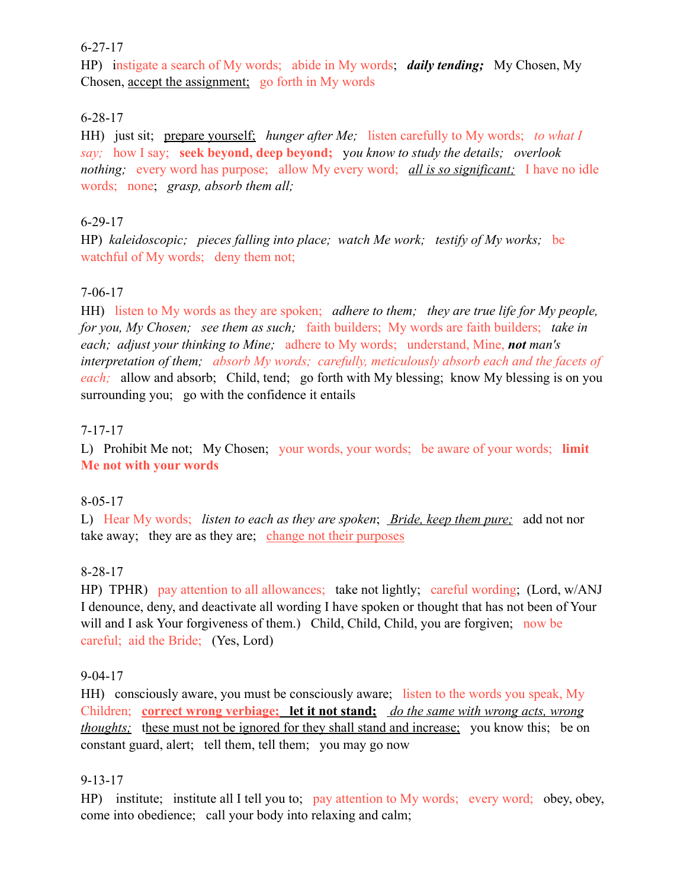#### 6-27-17

HP) instigate a search of My words; abide in My words; *daily tending;* My Chosen, My Chosen, accept the assignment; go forth in My words

# 6-28-17

HH) just sit; prepare yourself; *hunger after Me*; listen carefully to My words; *to what I say;* how I say; **seek beyond, deep beyond;** y*ou know to study the details; overlook nothing;* every word has purpose; allow My every word; *all is so significant;* I have no idle words; none; *grasp, absorb them all;* 

# 6-29-17

HP) *kaleidoscopic; pieces falling into place; watch Me work; testify of My works;* be watchful of My words; deny them not;

# 7-06-17

HH) listen to My words as they are spoken; *adhere to them; they are true life for My people, for you, My Chosen; see them as such;* faith builders; My words are faith builders; *take in each; adjust your thinking to Mine;* adhere to My words; understand, Mine, *not man's interpretation of them; absorb My words; carefully, meticulously absorb each and the facets of each;* allow and absorb; Child, tend; go forth with My blessing; know My blessing is on you surrounding you; go with the confidence it entails

# 7-17-17

L) Prohibit Me not; My Chosen; your words, your words; be aware of your words; **limit Me not with your words** 

# 8-05-17

L) Hear My words; *listen to each as they are spoken*; *Bride, keep them pure;* add not nor take away; they are as they are; change not their purposes

# 8-28-17

HP) TPHR) pay attention to all allowances; take not lightly; careful wording; (Lord, w/ANJ I denounce, deny, and deactivate all wording I have spoken or thought that has not been of Your will and I ask Your forgiveness of them.) Child, Child, Child, you are forgiven; now be careful; aid the Bride; (Yes, Lord)

# 9-04-17

HH) consciously aware, you must be consciously aware; listen to the words you speak, My Children; **correct wrong verbiage; let it not stand;** *do the same with wrong acts, wrong thoughts*; these must not be ignored for they shall stand and increase; you know this; be on constant guard, alert; tell them, tell them; you may go now

# 9-13-17

HP) institute; institute all I tell you to; pay attention to My words; every word; obey, obey, come into obedience; call your body into relaxing and calm;